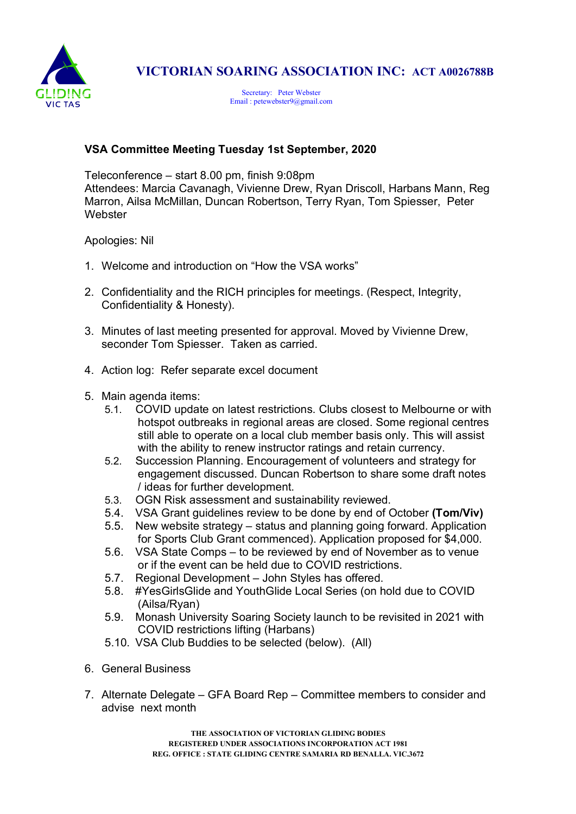

## VICTORIAN SOARING ASSOCIATION INC: ACT A0026788B

Secretary: Peter Webster Email : petewebster9@gmail.com

## VSA Committee Meeting Tuesday 1st September, 2020

Teleconference – start 8.00 pm, finish 9:08pm Attendees: Marcia Cavanagh, Vivienne Drew, Ryan Driscoll, Harbans Mann, Reg Marron, Ailsa McMillan, Duncan Robertson, Terry Ryan, Tom Spiesser, Peter **Webster** 

Apologies: Nil

- 1. Welcome and introduction on "How the VSA works"
- 2. Confidentiality and the RICH principles for meetings. (Respect, Integrity, Confidentiality & Honesty).
- 3. Minutes of last meeting presented for approval. Moved by Vivienne Drew, seconder Tom Spiesser. Taken as carried.
- 4. Action log: Refer separate excel document
- 5. Main agenda items:
	- 5.1. COVID update on latest restrictions. Clubs closest to Melbourne or with hotspot outbreaks in regional areas are closed. Some regional centres still able to operate on a local club member basis only. This will assist with the ability to renew instructor ratings and retain currency.
	- 5.2. Succession Planning. Encouragement of volunteers and strategy for engagement discussed. Duncan Robertson to share some draft notes / ideas for further development.
	- 5.3. OGN Risk assessment and sustainability reviewed.
	- 5.4. VSA Grant guidelines review to be done by end of October (Tom/Viv)
	- 5.5. New website strategy status and planning going forward. Application for Sports Club Grant commenced). Application proposed for \$4,000.
	- 5.6. VSA State Comps to be reviewed by end of November as to venue or if the event can be held due to COVID restrictions.
	- 5.7. Regional Development John Styles has offered.
	- 5.8. #YesGirlsGlide and YouthGlide Local Series (on hold due to COVID (Ailsa/Ryan)
	- 5.9. Monash University Soaring Society launch to be revisited in 2021 with COVID restrictions lifting (Harbans)
	- 5.10. VSA Club Buddies to be selected (below). (All)
- 6. General Business
- 7. Alternate Delegate GFA Board Rep Committee members to consider and advise next month

THE ASSOCIATION OF VICTORIAN GLIDING BODIES REGISTERED UNDER ASSOCIATIONS INCORPORATION ACT 1981 REG. OFFICE : STATE GLIDING CENTRE SAMARIA RD BENALLA. VIC.3672